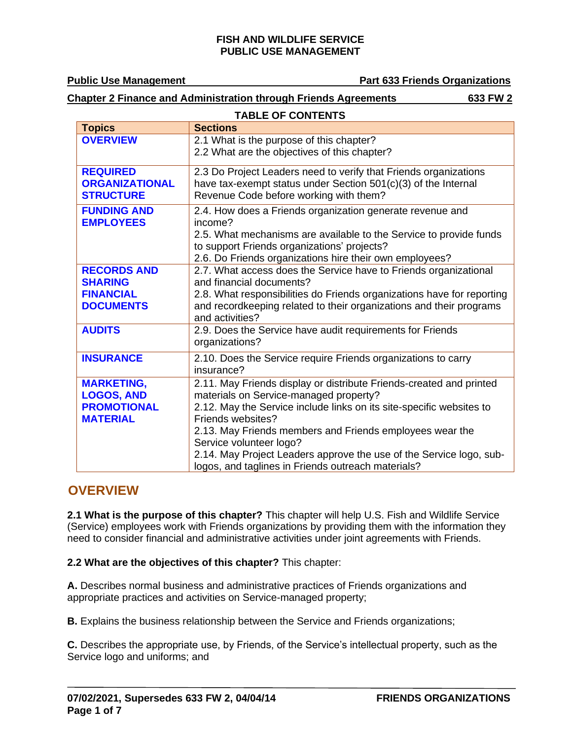**Public Use Management Part 633 Friends Organizations** 

## **Chapter 2 Finance and Administration through Friends Agreements 633 FW 2**

| <b>TABLE OF CONTENTS</b>               |                                                                                                                   |  |  |
|----------------------------------------|-------------------------------------------------------------------------------------------------------------------|--|--|
| <b>Topics</b>                          | <b>Sections</b>                                                                                                   |  |  |
| <b>OVERVIEW</b>                        | 2.1 What is the purpose of this chapter?                                                                          |  |  |
|                                        | 2.2 What are the objectives of this chapter?                                                                      |  |  |
| <b>REQUIRED</b>                        | 2.3 Do Project Leaders need to verify that Friends organizations                                                  |  |  |
| <b>ORGANIZATIONAL</b>                  | have tax-exempt status under Section 501(c)(3) of the Internal                                                    |  |  |
| <b>STRUCTURE</b>                       | Revenue Code before working with them?                                                                            |  |  |
| <b>FUNDING AND</b><br><b>EMPLOYEES</b> | 2.4. How does a Friends organization generate revenue and<br>income?                                              |  |  |
|                                        | 2.5. What mechanisms are available to the Service to provide funds<br>to support Friends organizations' projects? |  |  |
|                                        | 2.6. Do Friends organizations hire their own employees?                                                           |  |  |
| <b>RECORDS AND</b>                     | 2.7. What access does the Service have to Friends organizational                                                  |  |  |
| <b>SHARING</b>                         | and financial documents?                                                                                          |  |  |
| <b>FINANCIAL</b>                       | 2.8. What responsibilities do Friends organizations have for reporting                                            |  |  |
| <b>DOCUMENTS</b>                       | and recordkeeping related to their organizations and their programs<br>and activities?                            |  |  |
| <b>AUDITS</b>                          | 2.9. Does the Service have audit requirements for Friends<br>organizations?                                       |  |  |
| <b>INSURANCE</b>                       | 2.10. Does the Service require Friends organizations to carry<br>insurance?                                       |  |  |
| <b>MARKETING,</b>                      | 2.11. May Friends display or distribute Friends-created and printed                                               |  |  |
| <b>LOGOS, AND</b>                      | materials on Service-managed property?                                                                            |  |  |
| <b>PROMOTIONAL</b>                     | 2.12. May the Service include links on its site-specific websites to                                              |  |  |
| <b>MATERIAL</b>                        | Friends websites?                                                                                                 |  |  |
|                                        | 2.13. May Friends members and Friends employees wear the<br>Service volunteer logo?                               |  |  |
|                                        | 2.14. May Project Leaders approve the use of the Service logo, sub-                                               |  |  |
|                                        | logos, and taglines in Friends outreach materials?                                                                |  |  |

## <span id="page-0-0"></span>**OVERVIEW**

**2.1 What is the purpose of this chapter?** This chapter will help U.S. Fish and Wildlife Service (Service) employees work with Friends organizations by providing them with the information they need to consider financial and administrative activities under joint agreements with Friends.

**2.2 What are the objectives of this chapter?** This chapter:

**A.** Describes normal business and administrative practices of Friends organizations and appropriate practices and activities on Service-managed property;

**B.** Explains the business relationship between the Service and Friends organizations;

**C.** Describes the appropriate use, by Friends, of the Service's intellectual property, such as the Service logo and uniforms; and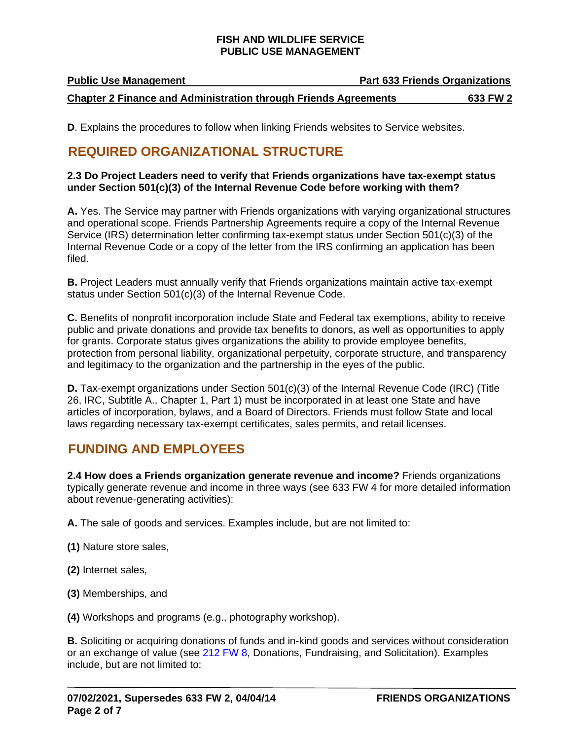| <b>Public Use Management</b> | <b>Part 633 Friends Organizations</b> |
|------------------------------|---------------------------------------|
|                              |                                       |

**Chapter 2 Finance and Administration through Friends Agreements 633 FW 2**

**D.** Explains the procedures to follow when linking Friends websites to Service websites.

## <span id="page-1-0"></span>**REQUIRED ORGANIZATIONAL STRUCTURE**

## **2.3 Do Project Leaders need to verify that Friends organizations have tax-exempt status under Section 501(c)(3) of the Internal Revenue Code before working with them?**

**A.** Yes. The Service may partner with Friends organizations with varying organizational structures and operational scope. Friends Partnership Agreements require a copy of the Internal Revenue Service (IRS) determination letter confirming tax-exempt status under Section 501(c)(3) of the Internal Revenue Code or a copy of the letter from the IRS confirming an application has been filed.

**B.** Project Leaders must annually verify that Friends organizations maintain active tax-exempt status under Section 501(c)(3) of the Internal Revenue Code.

**C.** Benefits of nonprofit incorporation include State and Federal tax exemptions, ability to receive public and private donations and provide tax benefits to donors, as well as opportunities to apply for grants. Corporate status gives organizations the ability to provide employee benefits, protection from personal liability, organizational perpetuity, corporate structure, and transparency and legitimacy to the organization and the partnership in the eyes of the public.

**D.** Tax-exempt organizations under Section 501(c)(3) of the Internal Revenue Code (IRC) (Title 26, IRC, Subtitle A., Chapter 1, Part 1) must be incorporated in at least one State and have articles of incorporation, bylaws, and a Board of Directors. Friends must follow State and local laws regarding necessary tax-exempt certificates, sales permits, and retail licenses.

## <span id="page-1-1"></span>**FUNDING AND EMPLOYEES**

**2.4 How does a Friends organization generate revenue and income?** Friends organizations typically generate revenue and income in three ways (see [633 FW 4](https://www.fws.gov/policy/633fw4.html) for more detailed information about revenue-generating activities):

**A.** The sale of goods and services. Examples include, but are not limited to:

**(1)** Nature store sales,

- **(2)** Internet sales,
- **(3)** Memberships, and

**(4)** Workshops and programs (e.g., photography workshop).

**B.** Soliciting or acquiring donations of funds and in-kind goods and services without consideration or an exchange of value (see [212 FW 8,](https://www.fws.gov/policy/212fw8.html) Donations, Fundraising, and Solicitation). Examples include, but are not limited to: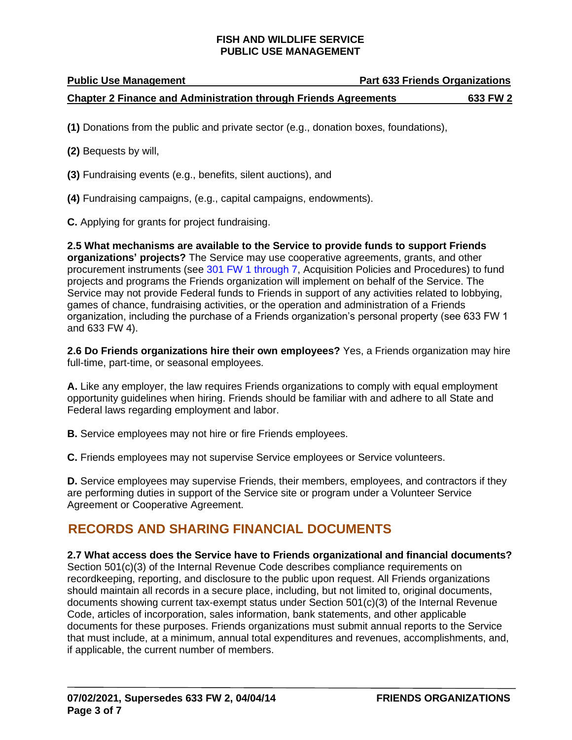## **Public Use Management Part 633 Friends Organizations Chapter 2 Finance and Administration through Friends Agreements 633 FW 2**

**(1)** Donations from the public and private sector (e.g., donation boxes, foundations),

**(2)** Bequests by will,

**(3)** Fundraising events (e.g., benefits, silent auctions), and

**(4)** Fundraising campaigns, (e.g., capital campaigns, endowments).

**C.** Applying for grants for project fundraising.

**2.5 What mechanisms are available to the Service to provide funds to support Friends organizations' projects?** The Service may use cooperative agreements, grants, and other procurement instruments (see [301 FW 1 through 7,](https://www.fws.gov/policy/manuals/part.cfm?series=300&seriestitle=LOGISTICS) Acquisition Policies and Procedures) to fund projects and programs the Friends organization will implement on behalf of the Service. The Service may not provide Federal funds to Friends in support of any activities related to lobbying, games of chance, fundraising activities, or the operation and administration of a Friends organization, including the purchase of a Friends organization's personal property (see 633 FW 1 and 633 FW 4).

**2.6 Do Friends organizations hire their own employees?** Yes, a Friends organization may hire full-time, part-time, or seasonal employees.

**A.** Like any employer, the law requires Friends organizations to comply with equal employment opportunity guidelines when hiring. Friends should be familiar with and adhere to all State and Federal laws regarding employment and labor.

**B.** Service employees may not hire or fire Friends employees.

**C.** Friends employees may not supervise Service employees or Service volunteers.

**D.** Service employees may supervise Friends, their members, employees, and contractors if they are performing duties in support of the Service site or program under a Volunteer Service Agreement or Cooperative Agreement.

## <span id="page-2-0"></span>**RECORDS AND SHARING FINANCIAL DOCUMENTS**

**2.7 What access does the Service have to Friends organizational and financial documents?**  Section 501(c)(3) of the Internal Revenue Code describes compliance requirements on recordkeeping, reporting, and disclosure to the public upon request. All Friends organizations should maintain all records in a secure place, including, but not limited to, original documents, documents showing current tax-exempt status under Section 501(c)(3) of the Internal Revenue Code, articles of incorporation, sales information, bank statements, and other applicable documents for these purposes. Friends organizations must submit annual reports to the Service that must include, at a minimum, annual total expenditures and revenues, accomplishments, and, if applicable, the current number of members.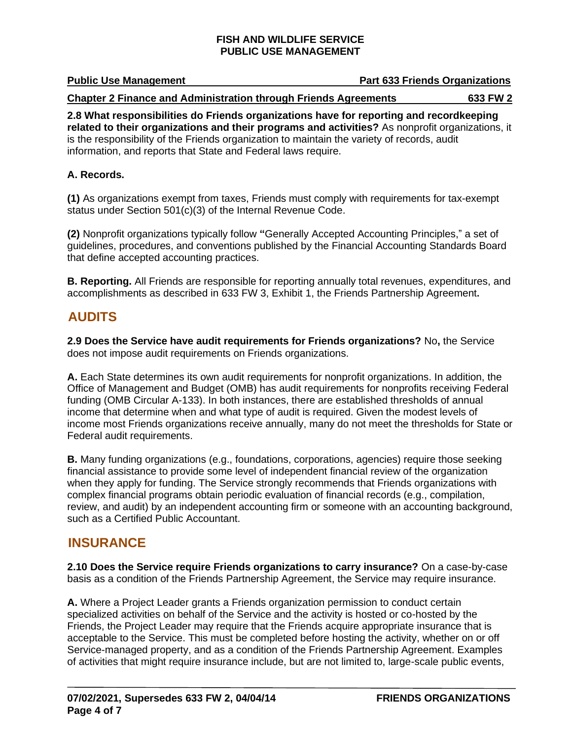| <b>Public Use Management</b> | <b>Part 633 Friends Organizations</b> |
|------------------------------|---------------------------------------|
|                              |                                       |

**Chapter 2 Finance and Administration through Friends Agreements 633 FW 2**

**2.8 What responsibilities do Friends organizations have for reporting and recordkeeping related to their organizations and their programs and activities?** As nonprofit organizations, it is the responsibility of the Friends organization to maintain the variety of records, audit information, and reports that State and Federal laws require.

## **A. Records.**

**(1)** As organizations exempt from taxes, Friends must comply with requirements for tax-exempt status under Section 501(c)(3) of the Internal Revenue Code.

**(2)** Nonprofit organizations typically follow **"**Generally Accepted Accounting Principles," a set of guidelines, procedures, and conventions published by the Financial Accounting Standards Board that define accepted accounting practices.

**B. Reporting.** All Friends are responsible for reporting annually total revenues, expenditures, and accomplishments as described in 633 FW 3, Exhibit 1, the Friends Partnership Agreement**.**

## <span id="page-3-0"></span>**AUDITS**

**2.9 Does the Service have audit requirements for Friends organizations?** No**,** the Service does not impose audit requirements on Friends organizations.

**A.** Each State determines its own audit requirements for nonprofit organizations. In addition, the Office of Management and Budget (OMB) has audit requirements for nonprofits receiving Federal funding [\(OMB Circular A-133\)](https://obamawhitehouse.archives.gov/omb/circulars_default/). In both instances, there are established thresholds of annual income that determine when and what type of audit is required. Given the modest levels of income most Friends organizations receive annually, many do not meet the thresholds for State or Federal audit requirements.

**B.** Many funding organizations (e.g., foundations, corporations, agencies) require those seeking financial assistance to provide some level of independent financial review of the organization when they apply for funding. The Service strongly recommends that Friends organizations with complex financial programs obtain periodic evaluation of financial records (e.g., compilation, review, and audit) by an independent accounting firm or someone with an accounting background, such as a Certified Public Accountant.

## <span id="page-3-1"></span>**INSURANCE**

**2.10 Does the Service require Friends organizations to carry insurance?** On a case-by-case basis as a condition of the Friends Partnership Agreement, the Service may require insurance.

**A.** Where a Project Leader grants a Friends organization permission to conduct certain specialized activities on behalf of the Service and the activity is hosted or co-hosted by the Friends, the Project Leader may require that the Friends acquire appropriate insurance that is acceptable to the Service. This must be completed before hosting the activity, whether on or off Service-managed property, and as a condition of the Friends Partnership Agreement. Examples of activities that might require insurance include, but are not limited to, large-scale public events,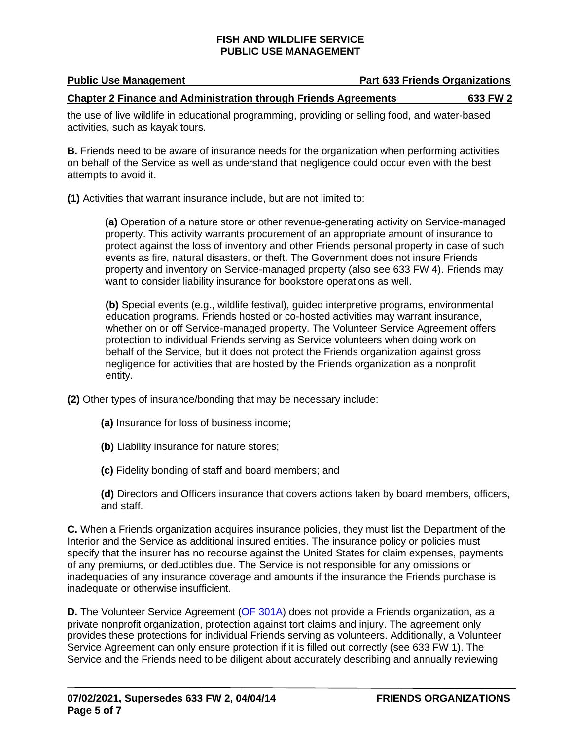| <b>Public Use Management</b> | <b>Part 633 Friends Organizations</b> |
|------------------------------|---------------------------------------|
|                              |                                       |

## **Chapter 2 Finance and Administration through Friends Agreements 633 FW 2**

the use of live wildlife in educational programming, providing or selling food, and water-based activities, such as kayak tours.

**B.** Friends need to be aware of insurance needs for the organization when performing activities on behalf of the Service as well as understand that negligence could occur even with the best attempts to avoid it.

**(1)** Activities that warrant insurance include, but are not limited to:

**(a)** Operation of a nature store or other revenue-generating activity on Service-managed property. This activity warrants procurement of an appropriate amount of insurance to protect against the loss of inventory and other Friends personal property in case of such events as fire, natural disasters, or theft. The Government does not insure Friends property and inventory on Service-managed property (also see 633 FW 4). Friends may want to consider liability insurance for bookstore operations as well.

**(b)** Special events (e.g., wildlife festival), guided interpretive programs, environmental education programs. Friends hosted or co-hosted activities may warrant insurance, whether on or off Service-managed property. The Volunteer Service Agreement offers protection to individual Friends serving as Service volunteers when doing work on behalf of the Service, but it does not protect the Friends organization against gross negligence for activities that are hosted by the Friends organization as a nonprofit entity.

**(2)** Other types of insurance/bonding that may be necessary include:

**(a)** Insurance for loss of business income;

**(b)** Liability insurance for nature stores;

**(c)** Fidelity bonding of staff and board members; and

**(d)** Directors and Officers insurance that covers actions taken by board members, officers, and staff.

**C.** When a Friends organization acquires insurance policies, they must list the Department of the Interior and the Service as additional insured entities. The insurance policy or policies must specify that the insurer has no recourse against the United States for claim expenses, payments of any premiums, or deductibles due. The Service is not responsible for any omissions or inadequacies of any insurance coverage and amounts if the insurance the Friends purchase is inadequate or otherwise insufficient.

**D.** The Volunteer Service Agreement [\(OF 301A\)](https://www.gsa.gov/forms-library/volunteer-service-agreement-natural-and-cultural-resources) does not provide a Friends organization, as a private nonprofit organization, protection against tort claims and injury. The agreement only provides these protections for individual Friends serving as volunteers. Additionally, a Volunteer Service Agreement can only ensure protection if it is filled out correctly (see 633 FW 1). The Service and the Friends need to be diligent about accurately describing and annually reviewing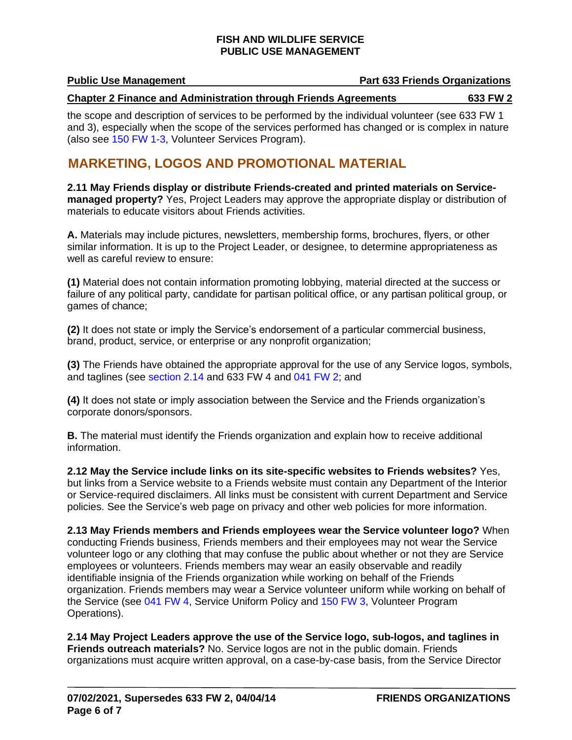#### **Public Use Management Part 633 Friends Organizations**

#### **Chapter 2 Finance and Administration through Friends Agreements 633 FW 2**

the scope and description of services to be performed by the individual volunteer (see 633 FW 1 and 3), especially when the scope of the services performed has changed or is complex in nature (also see [150 FW 1-3,](https://www.fws.gov/policy/manuals/part.cfm?series=100&seriestitle=EXTERNAL%20RELATIONS%20AND%20OUTREACH%20SERIES) Volunteer Services Program).

## <span id="page-5-0"></span>**MARKETING, LOGOS AND PROMOTIONAL MATERIAL**

**2.11 May Friends display or distribute Friends-created and printed materials on Servicemanaged property?** Yes, Project Leaders may approve the appropriate display or distribution of materials to educate visitors about Friends activities.

**A.** Materials may include pictures, newsletters, membership forms, brochures, flyers, or other similar information. It is up to the Project Leader, or designee, to determine appropriateness as well as careful review to ensure:

**(1)** Material does not contain information promoting lobbying, material directed at the success or failure of any political party, candidate for partisan political office, or any partisan political group, or games of chance;

**(2)** It does not state or imply the Service's endorsement of a particular commercial business, brand, product, service, or enterprise or any nonprofit organization;

**(3)** The Friends have obtained the appropriate approval for the use of any Service logos, symbols, and taglines (see [section 2.14](#page-5-1) and [633 FW 4](https://www.fws.gov/policy/633fw4.html) and [041 FW 2;](https://www.fws.gov/policy/041fw2.html) and

**(4)** It does not state or imply association between the Service and the Friends organization's corporate donors/sponsors.

**B.** The material must identify the Friends organization and explain how to receive additional information.

**2.12 May the Service include links on its site-specific websites to Friends websites?** Yes, but links from a Service website to a Friends website must contain any Department of the Interior or Service-required disclaimers. All links must be consistent with current Department and Service policies. See the Service's [web page on privacy and other web policies](http://www.fws.gov/help/policies.html) for more information.

**2.13 May Friends members and Friends employees wear the Service volunteer logo?** When conducting Friends business, Friends members and their employees may not wear the Service volunteer logo or any clothing that may confuse the public about whether or not they are Service employees or volunteers. Friends members may wear an easily observable and readily identifiable insignia of the Friends organization while working on behalf of the Friends organization. Friends members may wear a Service volunteer uniform while working on behalf of the Service (see [041 FW 4,](https://www.fws.gov/policy/041fw4.html) Service Uniform Policy and [150 FW 3,](https://www.fws.gov/policy/150fw3.html) Volunteer Program Operations).

<span id="page-5-1"></span>**2.14 May Project Leaders approve the use of the Service logo, sub-logos, and taglines in Friends outreach materials?** No. Service logos are not in the public domain. Friends organizations must acquire written approval, on a case-by-case basis, from the Service Director